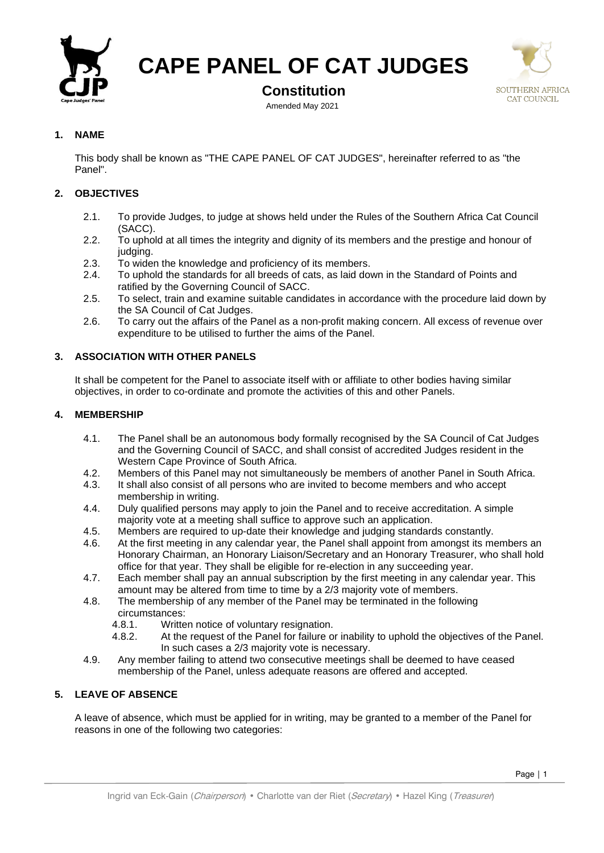

**CAPE PANEL OF CAT JUDGES**

# **Constitution**

Amended May 2021



# **1. NAME**

This body shall be known as "THE CAPE PANEL OF CAT JUDGES", hereinafter referred to as "the Panel".

# **2. OBJECTIVES**

- 2.1. To provide Judges, to judge at shows held under the Rules of the Southern Africa Cat Council (SACC).
- 2.2. To uphold at all times the integrity and dignity of its members and the prestige and honour of judging.
- 2.3. To widen the knowledge and proficiency of its members.
- 2.4. To uphold the standards for all breeds of cats, as laid down in the Standard of Points and ratified by the Governing Council of SACC.
- 2.5. To select, train and examine suitable candidates in accordance with the procedure laid down by the SA Council of Cat Judges.
- 2.6. To carry out the affairs of the Panel as a non-profit making concern. All excess of revenue over expenditure to be utilised to further the aims of the Panel.

## **3. ASSOCIATION WITH OTHER PANELS**

It shall be competent for the Panel to associate itself with or affiliate to other bodies having similar objectives, in order to co-ordinate and promote the activities of this and other Panels.

### **4. MEMBERSHIP**

- 4.1. The Panel shall be an autonomous body formally recognised by the SA Council of Cat Judges and the Governing Council of SACC, and shall consist of accredited Judges resident in the Western Cape Province of South Africa.
- 4.2. Members of this Panel may not simultaneously be members of another Panel in South Africa.
- 4.3. It shall also consist of all persons who are invited to become members and who accept membership in writing.
- 4.4. Duly qualified persons may apply to join the Panel and to receive accreditation. A simple majority vote at a meeting shall suffice to approve such an application.
- 4.5. Members are required to up-date their knowledge and judging standards constantly.
- 4.6. At the first meeting in any calendar year, the Panel shall appoint from amongst its members an Honorary Chairman, an Honorary Liaison/Secretary and an Honorary Treasurer, who shall hold office for that year. They shall be eligible for re-election in any succeeding year.
- 4.7. Each member shall pay an annual subscription by the first meeting in any calendar year. This amount may be altered from time to time by a 2/3 majority vote of members.
- 4.8. The membership of any member of the Panel may be terminated in the following circumstances:
	- 4.8.1. Written notice of voluntary resignation.
	- 4.8.2. At the request of the Panel for failure or inability to uphold the objectives of the Panel. In such cases a 2/3 majority vote is necessary.
- 4.9. Any member failing to attend two consecutive meetings shall be deemed to have ceased membership of the Panel, unless adequate reasons are offered and accepted.

### **5. LEAVE OF ABSENCE**

A leave of absence, which must be applied for in writing, may be granted to a member of the Panel for reasons in one of the following two categories: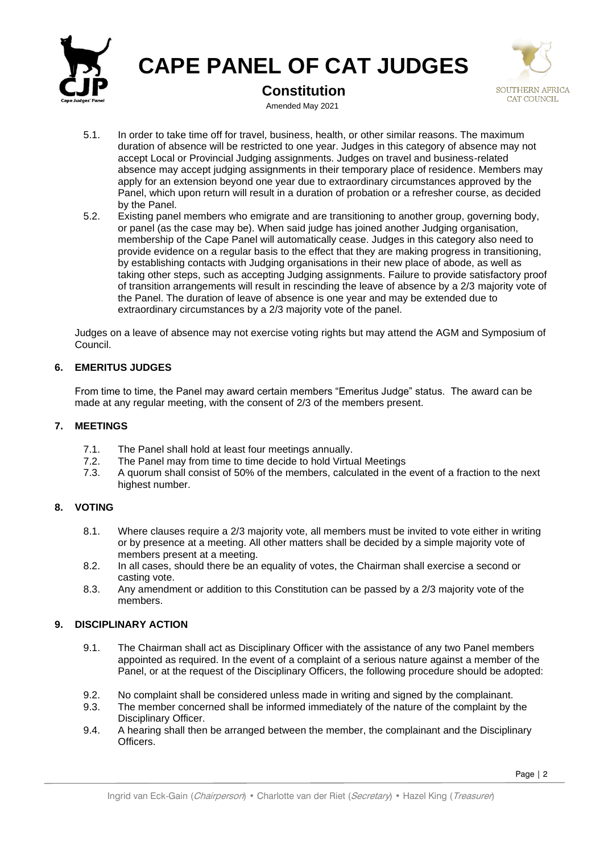

**CAPE PANEL OF CAT JUDGES**

**Constitution**



Amended May 2021

- 5.1. In order to take time off for travel, business, health, or other similar reasons. The maximum duration of absence will be restricted to one year. Judges in this category of absence may not accept Local or Provincial Judging assignments. Judges on travel and business-related absence may accept judging assignments in their temporary place of residence. Members may apply for an extension beyond one year due to extraordinary circumstances approved by the Panel, which upon return will result in a duration of probation or a refresher course, as decided by the Panel.
- 5.2. Existing panel members who emigrate and are transitioning to another group, governing body, or panel (as the case may be). When said judge has joined another Judging organisation, membership of the Cape Panel will automatically cease. Judges in this category also need to provide evidence on a regular basis to the effect that they are making progress in transitioning, by establishing contacts with Judging organisations in their new place of abode, as well as taking other steps, such as accepting Judging assignments. Failure to provide satisfactory proof of transition arrangements will result in rescinding the leave of absence by a 2/3 majority vote of the Panel. The duration of leave of absence is one year and may be extended due to extraordinary circumstances by a 2/3 majority vote of the panel.

Judges on a leave of absence may not exercise voting rights but may attend the AGM and Symposium of Council.

# **6. EMERITUS JUDGES**

From time to time, the Panel may award certain members "Emeritus Judge" status. The award can be made at any regular meeting, with the consent of 2/3 of the members present.

## **7. MEETINGS**

- 7.1. The Panel shall hold at least four meetings annually.<br>7.2. The Panel may from time to time decide to hold Virtu
- The Panel may from time to time decide to hold Virtual Meetings
- 7.3. A quorum shall consist of 50% of the members, calculated in the event of a fraction to the next highest number.

# **8. VOTING**

- 8.1. Where clauses require a 2/3 majority vote, all members must be invited to vote either in writing or by presence at a meeting. All other matters shall be decided by a simple majority vote of members present at a meeting.
- 8.2. In all cases, should there be an equality of votes, the Chairman shall exercise a second or casting vote.
- 8.3. Any amendment or addition to this Constitution can be passed by a 2/3 majority vote of the members.

### **9. DISCIPLINARY ACTION**

- 9.1. The Chairman shall act as Disciplinary Officer with the assistance of any two Panel members appointed as required. In the event of a complaint of a serious nature against a member of the Panel, or at the request of the Disciplinary Officers, the following procedure should be adopted:
- 9.2. No complaint shall be considered unless made in writing and signed by the complainant.
- 9.3. The member concerned shall be informed immediately of the nature of the complaint by the Disciplinary Officer.
- 9.4. A hearing shall then be arranged between the member, the complainant and the Disciplinary Officers.